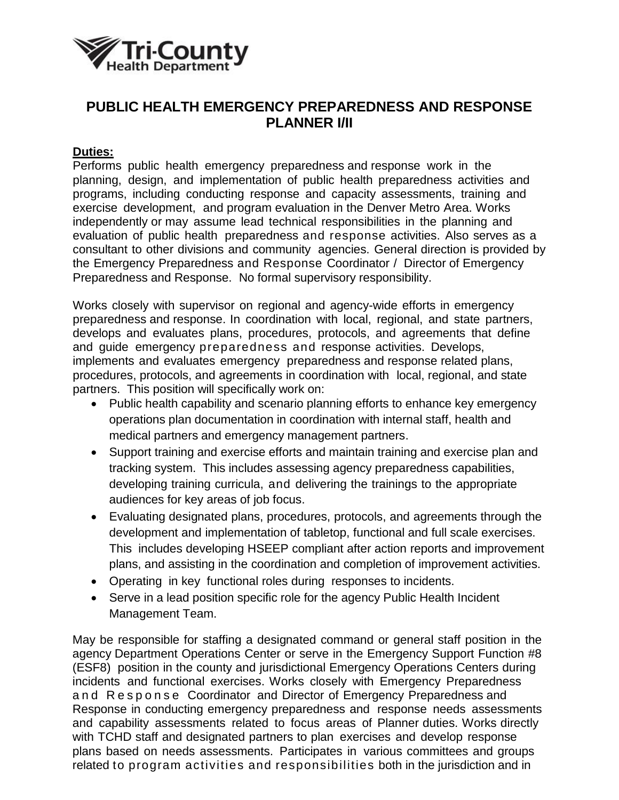

## **PUBLIC HEALTH EMERGENCY PREPAREDNESS AND RESPONSE PLANNER I/II**

## **Duties:**

Performs public health emergency preparedness and response work in the planning, design, and implementation of public health preparedness activities and programs, including conducting response and capacity assessments, training and exercise development, and program evaluation in the Denver Metro Area. Works independently or may assume lead technical responsibilities in the planning and evaluation of public health preparedness and response activities. Also serves as a consultant to other divisions and community agencies. General direction is provided by the Emergency Preparedness and Response Coordinator / Director of Emergency Preparedness and Response. No formal supervisory responsibility.

Works closely with supervisor on regional and agency-wide efforts in emergency preparedness and response. In coordination with local, regional, and state partners, develops and evaluates plans, procedures, protocols, and agreements that define and guide emergency preparedness and response activities. Develops, implements and evaluates emergency preparedness and response related plans, procedures, protocols, and agreements in coordination with local, regional, and state partners. This position will specifically work on:

- Public health capability and scenario planning efforts to enhance key emergency operations plan documentation in coordination with internal staff, health and medical partners and emergency management partners.
- Support training and exercise efforts and maintain training and exercise plan and tracking system. This includes assessing agency preparedness capabilities, developing training curricula, and delivering the trainings to the appropriate audiences for key areas of job focus.
- Evaluating designated plans, procedures, protocols, and agreements through the development and implementation of tabletop, functional and full scale exercises. This includes developing HSEEP compliant after action reports and improvement plans, and assisting in the coordination and completion of improvement activities.
- Operating in key functional roles during responses to incidents.
- Serve in a lead position specific role for the agency Public Health Incident Management Team.

May be responsible for staffing a designated command or general staff position in the agency Department Operations Center or serve in the Emergency Support Function #8 (ESF8) position in the county and jurisdictional Emergency Operations Centers during incidents and functional exercises. Works closely with Emergency Preparedness and Response Coordinator and Director of Emergency Preparedness and Response in conducting emergency preparedness and response needs assessments and capability assessments related to focus areas of Planner duties. Works directly with TCHD staff and designated partners to plan exercises and develop response plans based on needs assessments. Participates in various committees and groups related to program activities and responsibilities both in the jurisdiction and in